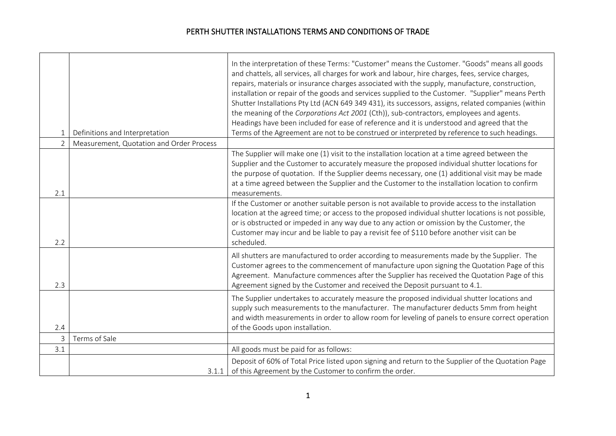$\overline{\phantom{a}}$ 

 $\overline{\phantom{0}}$ 

|                |                                          | In the interpretation of these Terms: "Customer" means the Customer. "Goods" means all goods<br>and chattels, all services, all charges for work and labour, hire charges, fees, service charges, |
|----------------|------------------------------------------|---------------------------------------------------------------------------------------------------------------------------------------------------------------------------------------------------|
|                |                                          | repairs, materials or insurance charges associated with the supply, manufacture, construction,                                                                                                    |
|                |                                          | installation or repair of the goods and services supplied to the Customer. "Supplier" means Perth                                                                                                 |
|                |                                          | Shutter Installations Pty Ltd (ACN 649 349 431), its successors, assigns, related companies (within                                                                                               |
|                |                                          | the meaning of the Corporations Act 2001 (Cth)), sub-contractors, employees and agents.                                                                                                           |
|                |                                          | Headings have been included for ease of reference and it is understood and agreed that the                                                                                                        |
| $\mathbf{1}$   | Definitions and Interpretation           | Terms of the Agreement are not to be construed or interpreted by reference to such headings.                                                                                                      |
| $\overline{2}$ | Measurement, Quotation and Order Process |                                                                                                                                                                                                   |
|                |                                          | The Supplier will make one (1) visit to the installation location at a time agreed between the                                                                                                    |
|                |                                          | Supplier and the Customer to accurately measure the proposed individual shutter locations for                                                                                                     |
|                |                                          | the purpose of quotation. If the Supplier deems necessary, one (1) additional visit may be made<br>at a time agreed between the Supplier and the Customer to the installation location to confirm |
| 2.1            |                                          | measurements.                                                                                                                                                                                     |
|                |                                          | If the Customer or another suitable person is not available to provide access to the installation                                                                                                 |
|                |                                          | location at the agreed time; or access to the proposed individual shutter locations is not possible,                                                                                              |
|                |                                          | or is obstructed or impeded in any way due to any action or omission by the Customer, the                                                                                                         |
|                |                                          | Customer may incur and be liable to pay a revisit fee of \$110 before another visit can be                                                                                                        |
| 2.2            |                                          | scheduled.                                                                                                                                                                                        |
|                |                                          | All shutters are manufactured to order according to measurements made by the Supplier. The                                                                                                        |
|                |                                          | Customer agrees to the commencement of manufacture upon signing the Quotation Page of this                                                                                                        |
|                |                                          | Agreement. Manufacture commences after the Supplier has received the Quotation Page of this                                                                                                       |
| 2.3            |                                          | Agreement signed by the Customer and received the Deposit pursuant to 4.1.                                                                                                                        |
|                |                                          | The Supplier undertakes to accurately measure the proposed individual shutter locations and                                                                                                       |
|                |                                          | supply such measurements to the manufacturer. The manufacturer deducts 5mm from height                                                                                                            |
| 2.4            |                                          | and width measurements in order to allow room for leveling of panels to ensure correct operation                                                                                                  |
| $\overline{3}$ | Terms of Sale                            | of the Goods upon installation.                                                                                                                                                                   |
| 3.1            |                                          | All goods must be paid for as follows:                                                                                                                                                            |
|                |                                          |                                                                                                                                                                                                   |
|                |                                          | Deposit of 60% of Total Price listed upon signing and return to the Supplier of the Quotation Page                                                                                                |
|                | 3.1.1                                    | of this Agreement by the Customer to confirm the order.                                                                                                                                           |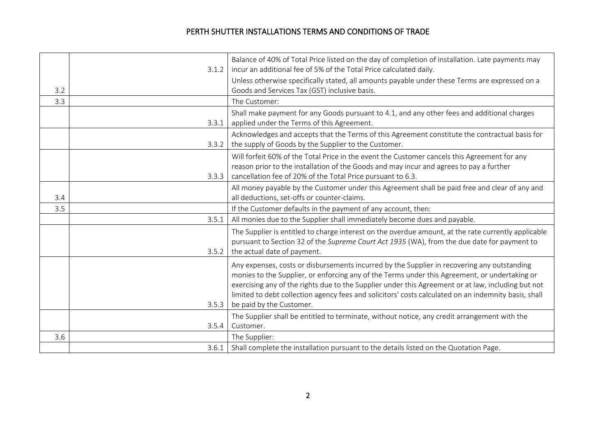|     | 3.1.2 | Balance of 40% of Total Price listed on the day of completion of installation. Late payments may<br>incur an additional fee of 5% of the Total Price calculated daily.                                                                                                                                                                                                                                                                 |
|-----|-------|----------------------------------------------------------------------------------------------------------------------------------------------------------------------------------------------------------------------------------------------------------------------------------------------------------------------------------------------------------------------------------------------------------------------------------------|
| 3.2 |       | Unless otherwise specifically stated, all amounts payable under these Terms are expressed on a<br>Goods and Services Tax (GST) inclusive basis.                                                                                                                                                                                                                                                                                        |
| 3.3 |       | The Customer:                                                                                                                                                                                                                                                                                                                                                                                                                          |
|     | 3.3.1 | Shall make payment for any Goods pursuant to 4.1, and any other fees and additional charges<br>applied under the Terms of this Agreement.                                                                                                                                                                                                                                                                                              |
|     | 3.3.2 | Acknowledges and accepts that the Terms of this Agreement constitute the contractual basis for<br>the supply of Goods by the Supplier to the Customer.                                                                                                                                                                                                                                                                                 |
|     | 3.3.3 | Will forfeit 60% of the Total Price in the event the Customer cancels this Agreement for any<br>reason prior to the installation of the Goods and may incur and agrees to pay a further<br>cancellation fee of 20% of the Total Price pursuant to 6.3.                                                                                                                                                                                 |
| 3.4 |       | All money payable by the Customer under this Agreement shall be paid free and clear of any and<br>all deductions, set-offs or counter-claims.                                                                                                                                                                                                                                                                                          |
| 3.5 |       | If the Customer defaults in the payment of any account, then:                                                                                                                                                                                                                                                                                                                                                                          |
|     | 3.5.1 | All monies due to the Supplier shall immediately become dues and payable.                                                                                                                                                                                                                                                                                                                                                              |
|     | 3.5.2 | The Supplier is entitled to charge interest on the overdue amount, at the rate currently applicable<br>pursuant to Section 32 of the Supreme Court Act 1935 (WA), from the due date for payment to<br>the actual date of payment.                                                                                                                                                                                                      |
|     | 3.5.3 | Any expenses, costs or disbursements incurred by the Supplier in recovering any outstanding<br>monies to the Supplier, or enforcing any of the Terms under this Agreement, or undertaking or<br>exercising any of the rights due to the Supplier under this Agreement or at law, including but not<br>limited to debt collection agency fees and solicitors' costs calculated on an indemnity basis, shall<br>be paid by the Customer. |
|     |       | The Supplier shall be entitled to terminate, without notice, any credit arrangement with the                                                                                                                                                                                                                                                                                                                                           |
|     | 3.5.4 | Customer.                                                                                                                                                                                                                                                                                                                                                                                                                              |
| 3.6 |       | The Supplier:                                                                                                                                                                                                                                                                                                                                                                                                                          |
|     |       |                                                                                                                                                                                                                                                                                                                                                                                                                                        |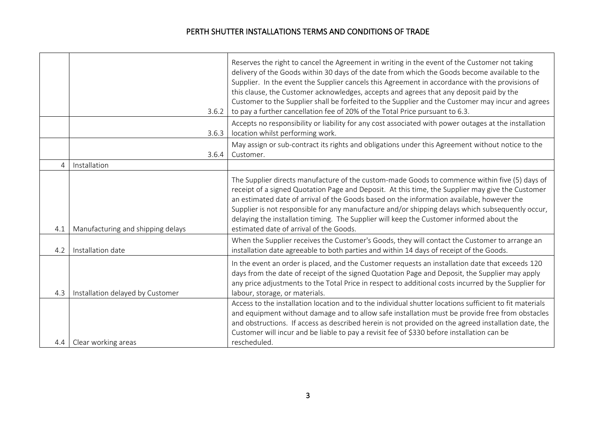<u> 1980 - Johann Stoff, deutscher Stoffen und der Stoffen und der Stoffen und der Stoffen und der Stoffen und de</u>

|                | 3.6.2                             | Reserves the right to cancel the Agreement in writing in the event of the Customer not taking<br>delivery of the Goods within 30 days of the date from which the Goods become available to the<br>Supplier. In the event the Supplier cancels this Agreement in accordance with the provisions of<br>this clause, the Customer acknowledges, accepts and agrees that any deposit paid by the<br>Customer to the Supplier shall be forfeited to the Supplier and the Customer may incur and agrees<br>to pay a further cancellation fee of 20% of the Total Price pursuant to 6.3. |
|----------------|-----------------------------------|-----------------------------------------------------------------------------------------------------------------------------------------------------------------------------------------------------------------------------------------------------------------------------------------------------------------------------------------------------------------------------------------------------------------------------------------------------------------------------------------------------------------------------------------------------------------------------------|
|                | 3.6.3                             | Accepts no responsibility or liability for any cost associated with power outages at the installation<br>location whilst performing work.                                                                                                                                                                                                                                                                                                                                                                                                                                         |
|                | 3.6.4                             | May assign or sub-contract its rights and obligations under this Agreement without notice to the<br>Customer.                                                                                                                                                                                                                                                                                                                                                                                                                                                                     |
| $\overline{A}$ | Installation                      |                                                                                                                                                                                                                                                                                                                                                                                                                                                                                                                                                                                   |
| 4.1            | Manufacturing and shipping delays | The Supplier directs manufacture of the custom-made Goods to commence within five (5) days of<br>receipt of a signed Quotation Page and Deposit. At this time, the Supplier may give the Customer<br>an estimated date of arrival of the Goods based on the information available, however the<br>Supplier is not responsible for any manufacture and/or shipping delays which subsequently occur,<br>delaying the installation timing. The Supplier will keep the Customer informed about the<br>estimated date of arrival of the Goods.                                         |
| 4.2            | Installation date                 | When the Supplier receives the Customer's Goods, they will contact the Customer to arrange an<br>installation date agreeable to both parties and within 14 days of receipt of the Goods.                                                                                                                                                                                                                                                                                                                                                                                          |
| 4.3            | Installation delayed by Customer  | In the event an order is placed, and the Customer requests an installation date that exceeds 120<br>days from the date of receipt of the signed Quotation Page and Deposit, the Supplier may apply<br>any price adjustments to the Total Price in respect to additional costs incurred by the Supplier for<br>labour, storage, or materials.                                                                                                                                                                                                                                      |
| 4.4            | Clear working areas               | Access to the installation location and to the individual shutter locations sufficient to fit materials<br>and equipment without damage and to allow safe installation must be provide free from obstacles<br>and obstructions. If access as described herein is not provided on the agreed installation date, the<br>Customer will incur and be liable to pay a revisit fee of \$330 before installation can be<br>rescheduled.                                                                                                                                                  |
|                |                                   |                                                                                                                                                                                                                                                                                                                                                                                                                                                                                                                                                                                   |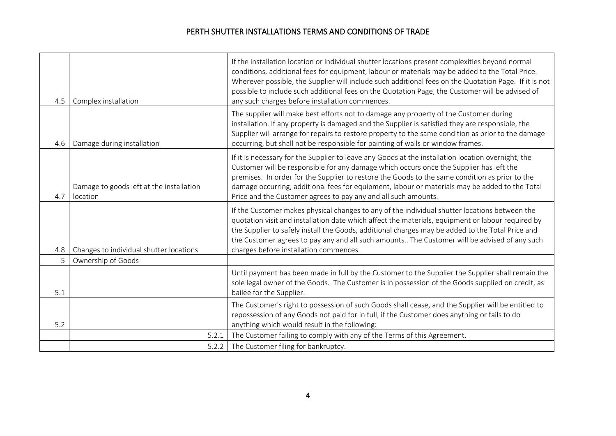| 4.5 | Complex installation                                 | If the installation location or individual shutter locations present complexities beyond normal<br>conditions, additional fees for equipment, labour or materials may be added to the Total Price.<br>Wherever possible, the Supplier will include such additional fees on the Quotation Page. If it is not<br>possible to include such additional fees on the Quotation Page, the Customer will be advised of<br>any such charges before installation commences.   |
|-----|------------------------------------------------------|---------------------------------------------------------------------------------------------------------------------------------------------------------------------------------------------------------------------------------------------------------------------------------------------------------------------------------------------------------------------------------------------------------------------------------------------------------------------|
| 4.6 | Damage during installation                           | The supplier will make best efforts not to damage any property of the Customer during<br>installation. If any property is damaged and the Supplier is satisfied they are responsible, the<br>Supplier will arrange for repairs to restore property to the same condition as prior to the damage<br>occurring, but shall not be responsible for painting of walls or window frames.                                                                                  |
| 4.7 | Damage to goods left at the installation<br>location | If it is necessary for the Supplier to leave any Goods at the installation location overnight, the<br>Customer will be responsible for any damage which occurs once the Supplier has left the<br>premises. In order for the Supplier to restore the Goods to the same condition as prior to the<br>damage occurring, additional fees for equipment, labour or materials may be added to the Total<br>Price and the Customer agrees to pay any and all such amounts. |
| 4.8 | Changes to individual shutter locations              | If the Customer makes physical changes to any of the individual shutter locations between the<br>quotation visit and installation date which affect the materials, equipment or labour required by<br>the Supplier to safely install the Goods, additional charges may be added to the Total Price and<br>the Customer agrees to pay any and all such amounts The Customer will be advised of any such<br>charges before installation commences.                    |
| 5   | Ownership of Goods                                   |                                                                                                                                                                                                                                                                                                                                                                                                                                                                     |
| 5.1 |                                                      | Until payment has been made in full by the Customer to the Supplier the Supplier shall remain the<br>sole legal owner of the Goods. The Customer is in possession of the Goods supplied on credit, as<br>bailee for the Supplier.                                                                                                                                                                                                                                   |
| 5.2 |                                                      | The Customer's right to possession of such Goods shall cease, and the Supplier will be entitled to<br>repossession of any Goods not paid for in full, if the Customer does anything or fails to do<br>anything which would result in the following:                                                                                                                                                                                                                 |
|     | 5.2.1                                                | The Customer failing to comply with any of the Terms of this Agreement.                                                                                                                                                                                                                                                                                                                                                                                             |
|     | 5.2.2                                                | The Customer filing for bankruptcy.                                                                                                                                                                                                                                                                                                                                                                                                                                 |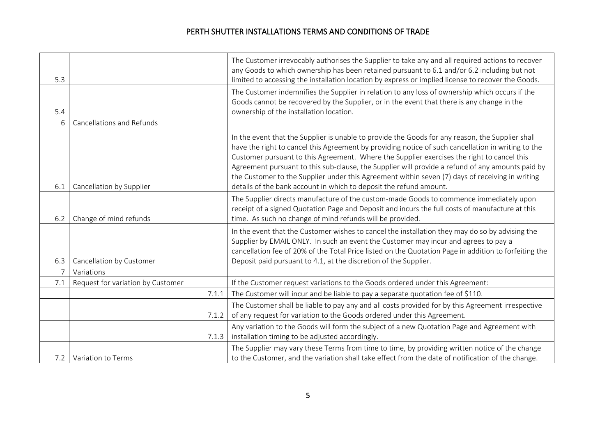|                |                                   | The Customer irrevocably authorises the Supplier to take any and all required actions to recover<br>any Goods to which ownership has been retained pursuant to 6.1 and/or 6.2 including but not                                                                                                                                                                                                                                                                                                                                                                                   |
|----------------|-----------------------------------|-----------------------------------------------------------------------------------------------------------------------------------------------------------------------------------------------------------------------------------------------------------------------------------------------------------------------------------------------------------------------------------------------------------------------------------------------------------------------------------------------------------------------------------------------------------------------------------|
| 5.3            |                                   | limited to accessing the installation location by express or implied license to recover the Goods.                                                                                                                                                                                                                                                                                                                                                                                                                                                                                |
|                |                                   | The Customer indemnifies the Supplier in relation to any loss of ownership which occurs if the                                                                                                                                                                                                                                                                                                                                                                                                                                                                                    |
| 5.4            |                                   | Goods cannot be recovered by the Supplier, or in the event that there is any change in the<br>ownership of the installation location.                                                                                                                                                                                                                                                                                                                                                                                                                                             |
| 6              | <b>Cancellations and Refunds</b>  |                                                                                                                                                                                                                                                                                                                                                                                                                                                                                                                                                                                   |
| 6.1            | Cancellation by Supplier          | In the event that the Supplier is unable to provide the Goods for any reason, the Supplier shall<br>have the right to cancel this Agreement by providing notice of such cancellation in writing to the<br>Customer pursuant to this Agreement. Where the Supplier exercises the right to cancel this<br>Agreement pursuant to this sub-clause, the Supplier will provide a refund of any amounts paid by<br>the Customer to the Supplier under this Agreement within seven (7) days of receiving in writing<br>details of the bank account in which to deposit the refund amount. |
| 6.2            | Change of mind refunds            | The Supplier directs manufacture of the custom-made Goods to commence immediately upon<br>receipt of a signed Quotation Page and Deposit and incurs the full costs of manufacture at this<br>time. As such no change of mind refunds will be provided.                                                                                                                                                                                                                                                                                                                            |
|                |                                   | In the event that the Customer wishes to cancel the installation they may do so by advising the<br>Supplier by EMAIL ONLY. In such an event the Customer may incur and agrees to pay a<br>cancellation fee of 20% of the Total Price listed on the Quotation Page in addition to forfeiting the                                                                                                                                                                                                                                                                                   |
| 6.3            | Cancellation by Customer          | Deposit paid pursuant to 4.1, at the discretion of the Supplier.                                                                                                                                                                                                                                                                                                                                                                                                                                                                                                                  |
| $\overline{7}$ | Variations                        |                                                                                                                                                                                                                                                                                                                                                                                                                                                                                                                                                                                   |
| 7.1            | Request for variation by Customer | If the Customer request variations to the Goods ordered under this Agreement:                                                                                                                                                                                                                                                                                                                                                                                                                                                                                                     |
|                | 7.1.1                             | The Customer will incur and be liable to pay a separate quotation fee of \$110.                                                                                                                                                                                                                                                                                                                                                                                                                                                                                                   |
|                |                                   | The Customer shall be liable to pay any and all costs provided for by this Agreement irrespective                                                                                                                                                                                                                                                                                                                                                                                                                                                                                 |
|                | 7.1.2                             | of any request for variation to the Goods ordered under this Agreement.                                                                                                                                                                                                                                                                                                                                                                                                                                                                                                           |
|                |                                   | Any variation to the Goods will form the subject of a new Quotation Page and Agreement with                                                                                                                                                                                                                                                                                                                                                                                                                                                                                       |
|                | 7.1.3                             | installation timing to be adjusted accordingly.                                                                                                                                                                                                                                                                                                                                                                                                                                                                                                                                   |
|                |                                   | The Supplier may vary these Terms from time to time, by providing written notice of the change                                                                                                                                                                                                                                                                                                                                                                                                                                                                                    |
| 7.2            | Variation to Terms                | to the Customer, and the variation shall take effect from the date of notification of the change.                                                                                                                                                                                                                                                                                                                                                                                                                                                                                 |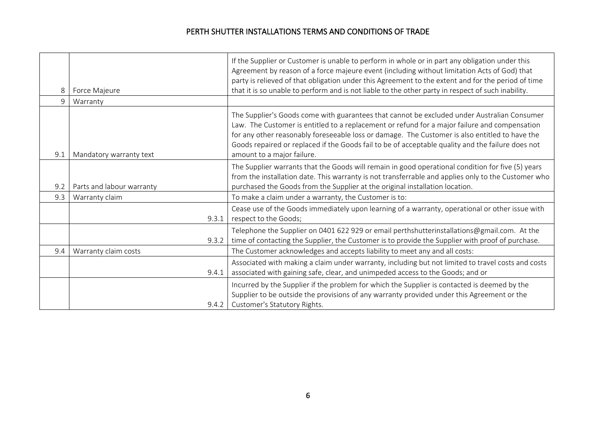| 8   | Force Majeure             | If the Supplier or Customer is unable to perform in whole or in part any obligation under this<br>Agreement by reason of a force majeure event (including without limitation Acts of God) that<br>party is relieved of that obligation under this Agreement to the extent and for the period of time<br>that it is so unable to perform and is not liable to the other party in respect of such inability.                        |
|-----|---------------------------|-----------------------------------------------------------------------------------------------------------------------------------------------------------------------------------------------------------------------------------------------------------------------------------------------------------------------------------------------------------------------------------------------------------------------------------|
| 9   | Warranty                  |                                                                                                                                                                                                                                                                                                                                                                                                                                   |
| 9.1 | Mandatory warranty text   | The Supplier's Goods come with guarantees that cannot be excluded under Australian Consumer<br>Law. The Customer is entitled to a replacement or refund for a major failure and compensation<br>for any other reasonably foreseeable loss or damage. The Customer is also entitled to have the<br>Goods repaired or replaced if the Goods fail to be of acceptable quality and the failure does not<br>amount to a major failure. |
| 9.2 | Parts and labour warranty | The Supplier warrants that the Goods will remain in good operational condition for five (5) years<br>from the installation date. This warranty is not transferrable and applies only to the Customer who<br>purchased the Goods from the Supplier at the original installation location.                                                                                                                                          |
| 9.3 | Warranty claim            | To make a claim under a warranty, the Customer is to:                                                                                                                                                                                                                                                                                                                                                                             |
|     | 9.3.1                     | Cease use of the Goods immediately upon learning of a warranty, operational or other issue with<br>respect to the Goods;                                                                                                                                                                                                                                                                                                          |
|     | 9.3.2                     | Telephone the Supplier on 0401 622 929 or email perthshutterinstallations@gmail.com. At the<br>time of contacting the Supplier, the Customer is to provide the Supplier with proof of purchase.                                                                                                                                                                                                                                   |
| 9.4 | Warranty claim costs      | The Customer acknowledges and accepts liability to meet any and all costs:                                                                                                                                                                                                                                                                                                                                                        |
|     | 9.4.1                     | Associated with making a claim under warranty, including but not limited to travel costs and costs<br>associated with gaining safe, clear, and unimpeded access to the Goods; and or                                                                                                                                                                                                                                              |
|     | 9.4.2                     | Incurred by the Supplier if the problem for which the Supplier is contacted is deemed by the<br>Supplier to be outside the provisions of any warranty provided under this Agreement or the<br>Customer's Statutory Rights.                                                                                                                                                                                                        |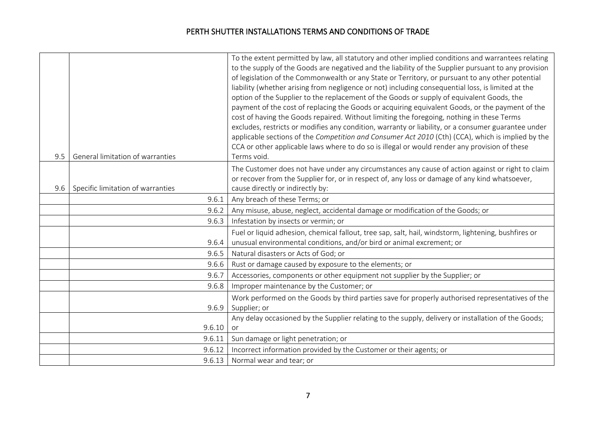|     |                                   | To the extent permitted by law, all statutory and other implied conditions and warrantees relating                                                                                                 |
|-----|-----------------------------------|----------------------------------------------------------------------------------------------------------------------------------------------------------------------------------------------------|
|     |                                   | to the supply of the Goods are negatived and the liability of the Supplier pursuant to any provision                                                                                               |
|     |                                   | of legislation of the Commonwealth or any State or Territory, or pursuant to any other potential                                                                                                   |
|     |                                   | liability (whether arising from negligence or not) including consequential loss, is limited at the                                                                                                 |
|     |                                   | option of the Supplier to the replacement of the Goods or supply of equivalent Goods, the                                                                                                          |
|     |                                   | payment of the cost of replacing the Goods or acquiring equivalent Goods, or the payment of the                                                                                                    |
|     |                                   | cost of having the Goods repaired. Without limiting the foregoing, nothing in these Terms                                                                                                          |
|     |                                   | excludes, restricts or modifies any condition, warranty or liability, or a consumer guarantee under                                                                                                |
|     |                                   | applicable sections of the Competition and Consumer Act 2010 (Cth) (CCA), which is implied by the                                                                                                  |
| 9.5 | General limitation of warranties  | CCA or other applicable laws where to do so is illegal or would render any provision of these<br>Terms void.                                                                                       |
|     |                                   |                                                                                                                                                                                                    |
|     |                                   | The Customer does not have under any circumstances any cause of action against or right to claim<br>or recover from the Supplier for, or in respect of, any loss or damage of any kind whatsoever, |
| 9.6 | Specific limitation of warranties | cause directly or indirectly by:                                                                                                                                                                   |
|     | 9.6.1                             | Any breach of these Terms; or                                                                                                                                                                      |
|     | 9.6.2                             | Any misuse, abuse, neglect, accidental damage or modification of the Goods; or                                                                                                                     |
|     | 9.6.3                             | Infestation by insects or vermin; or                                                                                                                                                               |
|     |                                   |                                                                                                                                                                                                    |
|     |                                   | Fuel or liquid adhesion, chemical fallout, tree sap, salt, hail, windstorm, lightening, bushfires or<br>unusual environmental conditions, and/or bird or animal excrement; or                      |
|     | 9.6.4<br>9.6.5                    | Natural disasters or Acts of God; or                                                                                                                                                               |
|     |                                   |                                                                                                                                                                                                    |
|     | 9.6.6                             | Rust or damage caused by exposure to the elements; or                                                                                                                                              |
|     | 9.6.7                             | Accessories, components or other equipment not supplier by the Supplier; or                                                                                                                        |
|     | 9.6.8                             | Improper maintenance by the Customer; or                                                                                                                                                           |
|     |                                   | Work performed on the Goods by third parties save for properly authorised representatives of the                                                                                                   |
|     | 9.6.9                             | Supplier; or                                                                                                                                                                                       |
|     |                                   | Any delay occasioned by the Supplier relating to the supply, delivery or installation of the Goods;                                                                                                |
|     | 9.6.10                            | or                                                                                                                                                                                                 |
|     | 9.6.11                            | Sun damage or light penetration; or                                                                                                                                                                |
|     | 9.6.12                            | Incorrect information provided by the Customer or their agents; or                                                                                                                                 |
|     | 9.6.13                            | Normal wear and tear; or                                                                                                                                                                           |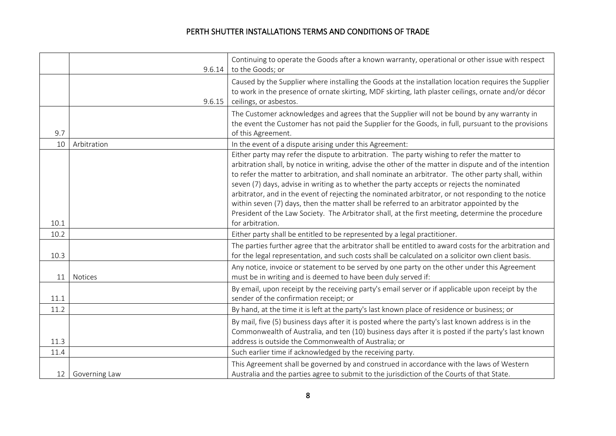|                 | 9.6.14         | Continuing to operate the Goods after a known warranty, operational or other issue with respect<br>to the Goods; or                                                                                                                                                                                                                                                                                                                                                                                                                                                                                                                                                                                                                       |
|-----------------|----------------|-------------------------------------------------------------------------------------------------------------------------------------------------------------------------------------------------------------------------------------------------------------------------------------------------------------------------------------------------------------------------------------------------------------------------------------------------------------------------------------------------------------------------------------------------------------------------------------------------------------------------------------------------------------------------------------------------------------------------------------------|
|                 | 9.6.15         | Caused by the Supplier where installing the Goods at the installation location requires the Supplier<br>to work in the presence of ornate skirting, MDF skirting, lath plaster ceilings, ornate and/or décor<br>ceilings, or asbestos.                                                                                                                                                                                                                                                                                                                                                                                                                                                                                                    |
| 9.7             |                | The Customer acknowledges and agrees that the Supplier will not be bound by any warranty in<br>the event the Customer has not paid the Supplier for the Goods, in full, pursuant to the provisions<br>of this Agreement.                                                                                                                                                                                                                                                                                                                                                                                                                                                                                                                  |
| 10              | Arbitration    | In the event of a dispute arising under this Agreement:                                                                                                                                                                                                                                                                                                                                                                                                                                                                                                                                                                                                                                                                                   |
| 10.1            |                | Either party may refer the dispute to arbitration. The party wishing to refer the matter to<br>arbitration shall, by notice in writing, advise the other of the matter in dispute and of the intention<br>to refer the matter to arbitration, and shall nominate an arbitrator. The other party shall, within<br>seven (7) days, advise in writing as to whether the party accepts or rejects the nominated<br>arbitrator, and in the event of rejecting the nominated arbitrator, or not responding to the notice<br>within seven (7) days, then the matter shall be referred to an arbitrator appointed by the<br>President of the Law Society. The Arbitrator shall, at the first meeting, determine the procedure<br>for arbitration. |
| 10.2            |                | Either party shall be entitled to be represented by a legal practitioner.                                                                                                                                                                                                                                                                                                                                                                                                                                                                                                                                                                                                                                                                 |
| 10.3            |                | The parties further agree that the arbitrator shall be entitled to award costs for the arbitration and<br>for the legal representation, and such costs shall be calculated on a solicitor own client basis.                                                                                                                                                                                                                                                                                                                                                                                                                                                                                                                               |
| 11              | <b>Notices</b> | Any notice, invoice or statement to be served by one party on the other under this Agreement<br>must be in writing and is deemed to have been duly served if:                                                                                                                                                                                                                                                                                                                                                                                                                                                                                                                                                                             |
| 11.1            |                | By email, upon receipt by the receiving party's email server or if applicable upon receipt by the<br>sender of the confirmation receipt; or                                                                                                                                                                                                                                                                                                                                                                                                                                                                                                                                                                                               |
| 11.2            |                | By hand, at the time it is left at the party's last known place of residence or business; or                                                                                                                                                                                                                                                                                                                                                                                                                                                                                                                                                                                                                                              |
| 11.3            |                | By mail, five (5) business days after it is posted where the party's last known address is in the<br>Commonwealth of Australia, and ten (10) business days after it is posted if the party's last known<br>address is outside the Commonwealth of Australia; or                                                                                                                                                                                                                                                                                                                                                                                                                                                                           |
| 11.4            |                | Such earlier time if acknowledged by the receiving party.                                                                                                                                                                                                                                                                                                                                                                                                                                                                                                                                                                                                                                                                                 |
| 12 <sup>1</sup> | Governing Law  | This Agreement shall be governed by and construed in accordance with the laws of Western<br>Australia and the parties agree to submit to the jurisdiction of the Courts of that State.                                                                                                                                                                                                                                                                                                                                                                                                                                                                                                                                                    |